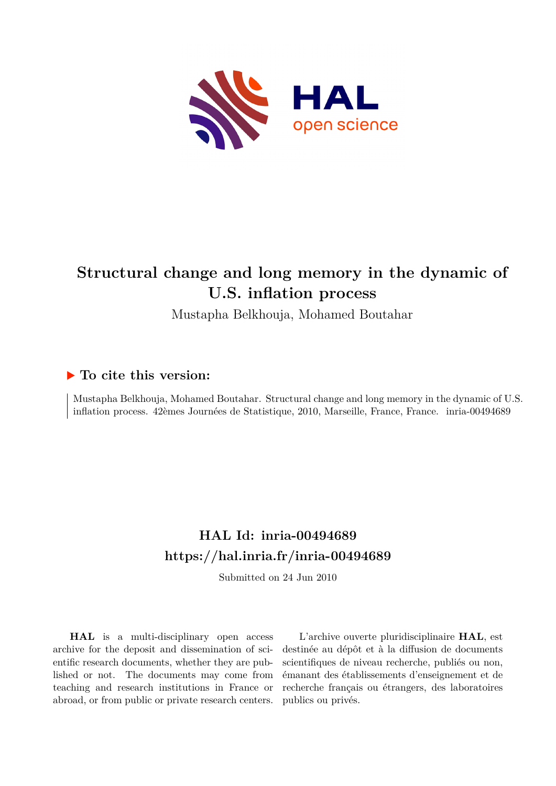

# **Structural change and long memory in the dynamic of U.S. inflation process**

Mustapha Belkhouja, Mohamed Boutahar

### **To cite this version:**

Mustapha Belkhouja, Mohamed Boutahar. Structural change and long memory in the dynamic of U.S. inflation process. 42èmes Journées de Statistique, 2010, Marseille, France, France. inria-00494689

### **HAL Id: inria-00494689 <https://hal.inria.fr/inria-00494689>**

Submitted on 24 Jun 2010

**HAL** is a multi-disciplinary open access archive for the deposit and dissemination of scientific research documents, whether they are published or not. The documents may come from teaching and research institutions in France or abroad, or from public or private research centers.

L'archive ouverte pluridisciplinaire **HAL**, est destinée au dépôt et à la diffusion de documents scientifiques de niveau recherche, publiés ou non, émanant des établissements d'enseignement et de recherche français ou étrangers, des laboratoires publics ou privés.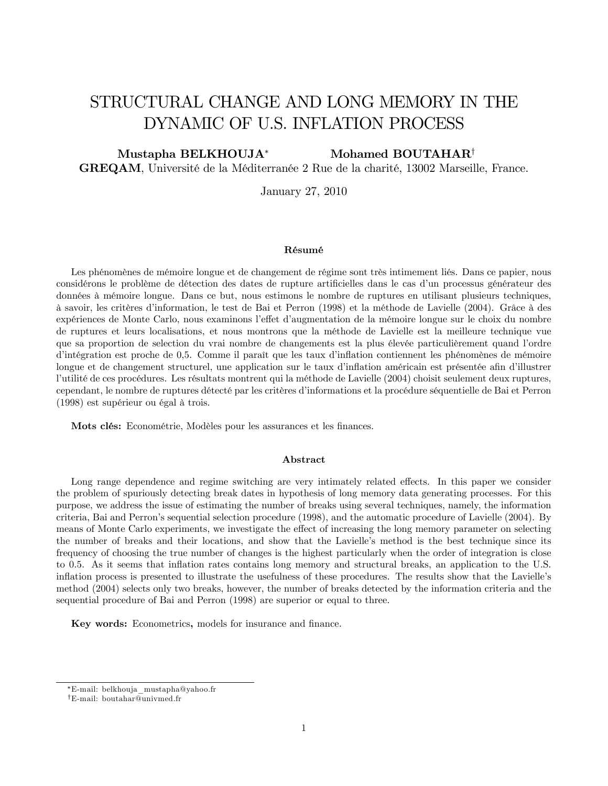## STRUCTURAL CHANGE AND LONG MEMORY IN THE DYNAMIC OF U.S. INFLATION PROCESS

Mustapha BELKHOUJA\* Mohamed BOUTAHAR<sup>†</sup> **GREQAM**, Université de la Méditerranée 2 Rue de la charité, 13002 Marseille, France.

January 27, 2010

#### Résumé

Les phénomènes de mémoire longue et de changement de régime sont très intimement liés. Dans ce papier, nous considérons le problème de détection des dates de rupture artificielles dans le cas d'un processus générateur des données à mémoire longue. Dans ce but, nous estimons le nombre de ruptures en utilisant plusieurs techniques, à savoir, les critères d'information, le test de Bai et Perron (1998) et la méthode de Lavielle (2004). Grâce à des expériences de Monte Carlo, nous examinons l'effet d'augmentation de la mémoire longue sur le choix du nombre de ruptures et leurs localisations, et nous montrons que la méthode de Lavielle est la meilleure technique vue que sa proportion de selection du vrai nombre de changements est la plus élevée particulièrement quand l'ordre d'intégration est proche de 0,5. Comme il paraît que les taux d'inflation contiennent les phénomènes de mémoire longue et de changement structurel, une application sur le taux d'inflation américain est présentée afin d'illustrer l'utilité de ces procédures. Les résultats montrent qui la méthode de Lavielle (2004) choisit seulement deux ruptures, cependant, le nombre de ruptures détecté par les critères d'informations et la procédure séquentielle de Bai et Perron (1998) est supérieur ou égal à trois.

Mots clés: Econométrie, Modèles pour les assurances et les finances.

#### Abstract

Long range dependence and regime switching are very intimately related effects. In this paper we consider the problem of spuriously detecting break dates in hypothesis of long memory data generating processes. For this purpose, we address the issue of estimating the number of breaks using several techniques, namely, the information criteria, Bai and Perron's sequential selection procedure (1998), and the automatic procedure of Lavielle (2004). By means of Monte Carlo experiments, we investigate the effect of increasing the long memory parameter on selecting the number of breaks and their locations, and show that the Lavielle's method is the best technique since its frequency of choosing the true number of changes is the highest particularly when the order of integration is close to 0.5. As it seems that inflation rates contains long memory and structural breaks, an application to the U.S. inflation process is presented to illustrate the usefulness of these procedures. The results show that the Lavielle's method (2004) selects only two breaks, however, the number of breaks detected by the information criteria and the sequential procedure of Bai and Perron (1998) are superior or equal to three.

Key words: Econometrics, models for insurance and finance.

<sup>\*</sup>E-mail: belkhouja mustapha@yahoo.fr

<sup>&</sup>lt;sup>†</sup>E-mail: boutahar@univmed.fr